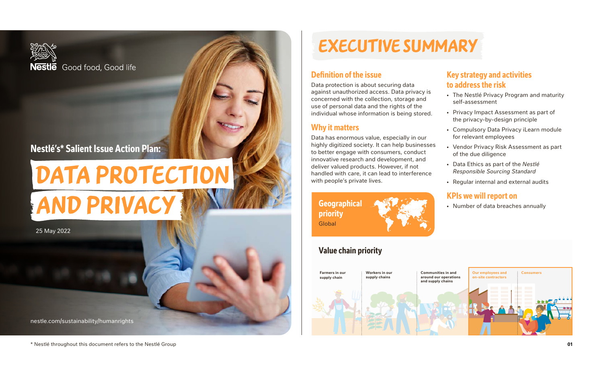

# DATA PROTECTION and Privacy

25 May 2022

[nestle.com/sustainability/humanrights](http://nestle.com/sustainability/humanrights)

### **Definition of the issue**

Data protection is about securing data against unauthorized access. Data privacy is concerned with the collection, storage and use of personal data and the rights of the individual whose information is being stored.

### **Why it matters**

Data has enormous value, especially in our highly digitized society. It can help businesses to better engage with consumers, conduct innovative research and development, and deliver valued products. However, if not handled with care, it can lead to interference with people's private lives.

**Geographical priority** Global

# **Value chain priority**



### **Key strategy and activities to address the risk**

- The Nestlé Privacy Program and maturity self-assessment
- Privacy Impact Assessment as part of the privacy-by-design principle
- Compulsory Data Privacy iLearn module for relevant employees
- Vendor Privacy Risk Assessment as part of the due diligence
- Data Ethics as part of the *Nestlé Responsible Sourcing Standard*
- Regular internal and external audits

### **KPIs we will report on**

• Number of data breaches annually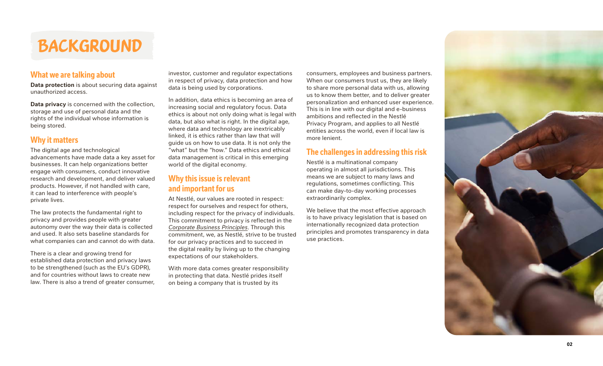# **BACKGROUND**

### **What we are talking about**

**Data protection** is about securing data against unauthorized access.

**Data privacy** is concerned with the collection, storage and use of personal data and the rights of the individual whose information is being stored.

### **Why it matters**

The digital age and technological advancements have made data a key asset for businesses. It can help organizations better engage with consumers, conduct innovative research and development, and deliver valued products. However, if not handled with care, it can lead to interference with people's private lives.

The law protects the fundamental right to privacy and provides people with greater autonomy over the way their data is collected and used. It also sets baseline standards for what companies can and cannot do with data.

There is a clear and growing trend for established data protection and privacy laws to be strengthened (such as the EU's GDPR), and for countries without laws to create new law. There is also a trend of greater consumer, investor, customer and regulator expectations in respect of privacy, data protection and how data is being used by corporations.

In addition, data ethics is becoming an area of increasing social and regulatory focus. Data ethics is about not only doing what is legal with data, but also what is right. In the digital age, where data and technology are inextricably linked, it is ethics rather than law that will guide us on how to use data. It is not only the "what" but the "how." Data ethics and ethical data management is critical in this emerging world of the digital economy.

### **Why this issue is relevant and important for us**

At Nestlé, our values are rooted in respect: respect for ourselves and respect for others, including respect for the privacy of individuals. This commitment to privacy is reflected in the *[Corporate Business Principles](https://www.nestle.com/sites/default/files/asset-library/documents/library/documents/corporate_governance/corporate-business-principles-en.pdf)*. Through this commitment, we, as Nestlé, strive to be trusted for our privacy practices and to succeed in the digital reality by living up to the changing expectations of our stakeholders.

With more data comes greater responsibility in protecting that data. Nestlé prides itself on being a company that is trusted by its

consumers, employees and business partners. When our consumers trust us, they are likely to share more personal data with us, allowing us to know them better, and to deliver greater personalization and enhanced user experience. This is in line with our digital and e-business ambitions and reflected in the Nestlé Privacy Program, and applies to all Nestlé entities across the world, even if local law is more lenient.

### **The challenges in addressing this risk**

Nestlé is a multinational company operating in almost all jurisdictions. This means we are subject to many laws and regulations, sometimes conflicting. This can make day-to-day working processes extraordinarily complex.

We believe that the most effective approach is to have privacy legislation that is based on internationally recognized data protection principles and promotes transparency in data use practices.

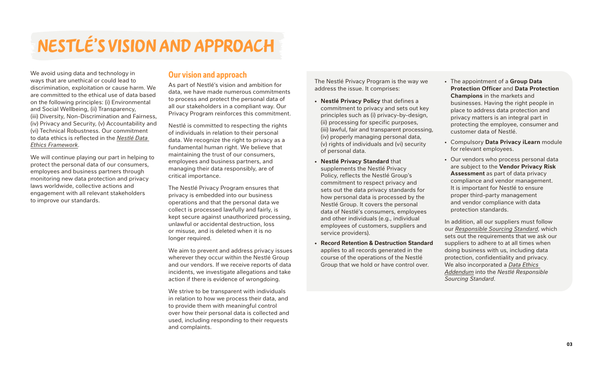# Nestlé's vision and approach

We avoid using data and technology in ways that are unethical or could lead to discrimination, exploitation or cause harm. We are committed to the ethical use of data based on the following principles: (i) Environmental and Social Wellbeing, (ii) Transparency, (iii) Diversity, Non-Discrimination and Fairness, (iv) Privacy and Security, (v) Accountability and (vi) Technical Robustness. Our commitment to data ethics is reflected in the *[Nestlé Data](https://www.nestle.com/sustainability/human-rights/data-protection-privacy)  Ethics [Framework](https://www.nestle.com/sustainability/human-rights/data-protection-privacy)*.

We will continue playing our part in helping to protect the personal data of our consumers, employees and business partners through monitoring new data protection and privacy laws worldwide, collective actions and engagement with all relevant stakeholders to improve our standards.

### **Our vision and approach**

As part of Nestlé's vision and ambition for data, we have made numerous commitments to process and protect the personal data of all our stakeholders in a compliant way. Our Privacy Program reinforces this commitment.

Nestlé is committed to respecting the rights of individuals in relation to their personal data. We recognize the right to privacy as a fundamental human right. We believe that maintaining the trust of our consumers, employees and business partners, and managing their data responsibly, are of critical importance.

The Nestlé Privacy Program ensures that privacy is embedded into our business operations and that the personal data we collect is processed lawfully and fairly, is kept secure against unauthorized processing, unlawful or accidental destruction, loss or misuse, and is deleted when it is no longer required.

We aim to prevent and address privacy issues wherever they occur within the Nestlé Group and our vendors. If we receive reports of data incidents, we investigate allegations and take action if there is evidence of wrongdoing.

We strive to be transparent with individuals in relation to how we process their data, and to provide them with meaningful control over how their personal data is collected and used, including responding to their requests and complaints.

The Nestlé Privacy Program is the way we address the issue. It comprises:

- **• Nestlé Privacy Policy** that defines a commitment to privacy and sets out key principles such as (i) privacy-by-design, (ii) processing for specific purposes, (iii) lawful, fair and transparent processing, (iv) properly managing personal data, (v) rights of individuals and (vi) security of personal data.
- **• Nestlé Privacy Standard** that supplements the Nestlé Privacy Policy, reflects the Nestlé Group's commitment to respect privacy and sets out the data privacy standards for how personal data is processed by the Nestlé Group. It covers the personal data of Nestlé's consumers, employees and other individuals (e.g., individual employees of customers, suppliers and service providers).
- **• Record Retention & Destruction Standard** applies to all records generated in the course of the operations of the Nestlé Group that we hold or have control over.
- The appointment of a **Group Data Protection Officer** and **Data Protection Champions** in the markets and businesses. Having the right people in place to address data protection and privacy matters is an integral part in protecting the employee, consumer and customer data of Nestlé.
- Compulsory **Data Privacy iLearn** module for relevant employees.
- Our vendors who process personal data are subject to the **Vendor Privacy Risk Assessment** as part of data privacy compliance and vendor management. It is important for Nestlé to ensure proper third-party management and vendor compliance with data protection standards.

In addition, all our suppliers must follow our *[Responsible Sourcing Standard](https://www.nestle.com/asset-library/documents/library/documents/suppliers/nestle-responsible-sourcing-standard-english.pdf)*, which sets out the requirements that we ask our suppliers to adhere to at all times when doing business with us, including data protection, confidentiality and privacy. We also incorporated a *[Data Ethics](https://www.nestle.com/sites/default/files/2021-06/nestle-responsible-sourcing-standard-data-ethics-addendum.pdf)  [Addendum](https://www.nestle.com/sites/default/files/2021-06/nestle-responsible-sourcing-standard-data-ethics-addendum.pdf)* into the *Nestlé Responsible Sourcing Standard*.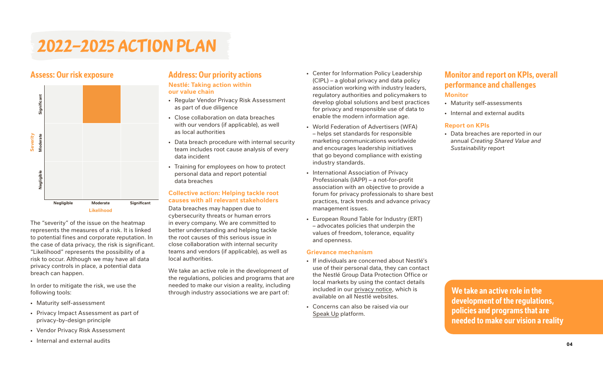# 2022–2025 Action Plan



The "severity" of the issue on the heatmap represents the measures of a risk. It is linked to potential fines and corporate reputation. In the case of data privacy, the risk is significant. "Likelihood" represents the possibility of a risk to occur. Although we may have all data privacy controls in place, a potential data breach can happen.

In order to mitigate the risk, we use the following tools:

- Maturity self-assessment
- Privacy Impact Assessment as part of privacy-by-design principle
- Vendor Privacy Risk Assessment
- Internal and external audits

# **Address: Our priority actions**

#### **Nestlé: Taking action within our value chain**

- Regular Vendor Privacy Risk Assessment as part of due diligence
- Close collaboration on data breaches with our vendors (if applicable), as well as local authorities
- Data breach procedure with internal security team includes root cause analysis of every data incident
- Training for employees on how to protect personal data and report potential data breaches

#### **Collective action: Helping tackle root causes with all relevant stakeholders**

Data breaches may happen due to cybersecurity threats or human errors in every company. We are committed to better understanding and helping tackle the root causes of this serious issue in close collaboration with internal security teams and vendors (if applicable), as well as local authorities.

We take an active role in the development of the regulations, policies and programs that are needed to make our vision a reality, including through industry associations we are part of:

- Center for Information Policy Leadership (CIPL) – a global privacy and data policy association working with industry leaders, regulatory authorities and policymakers to develop global solutions and best practices for privacy and responsible use of data to enable the modern information age.
- World Federation of Advertisers (WFA) – helps set standards for responsible marketing communications worldwide and encourages leadership initiatives that go beyond compliance with existing industry standards.
- International Association of Privacy Professionals (IAPP) – a not-for-profit association with an objective to provide a forum for privacy professionals to share best practices, track trends and advance privacy management issues.
- European Round Table for Industry (ERT) – advocates policies that underpin the values of freedom, tolerance, equality and openness.

#### **Grievance mechanism**

- If individuals are concerned about Nestlé's use of their personal data, they can contact the Nestlé Group Data Protection Office or local markets by using the contact details included in our [privacy notice](https://www.nestle.com/aboutus/businessprinciples/privacy/privacy-notice), which is available on all Nestlé websites.
- Concerns can also be raised via our [Speak Up](https://www.nestle.com/aboutus/businessprinciples/report-your-concerns) platform.

## **Monitor and report on KPIs, overall performance and challenges**

### **Monitor**

- Maturity self-assessments
- Internal and external audits

#### **Report on KPIs**

• Data breaches are reported in our annual *Creating Shared Value and Sustainability* report

**We take an active role in the development of the regulations, policies and programs that are needed to make our vision a reality**